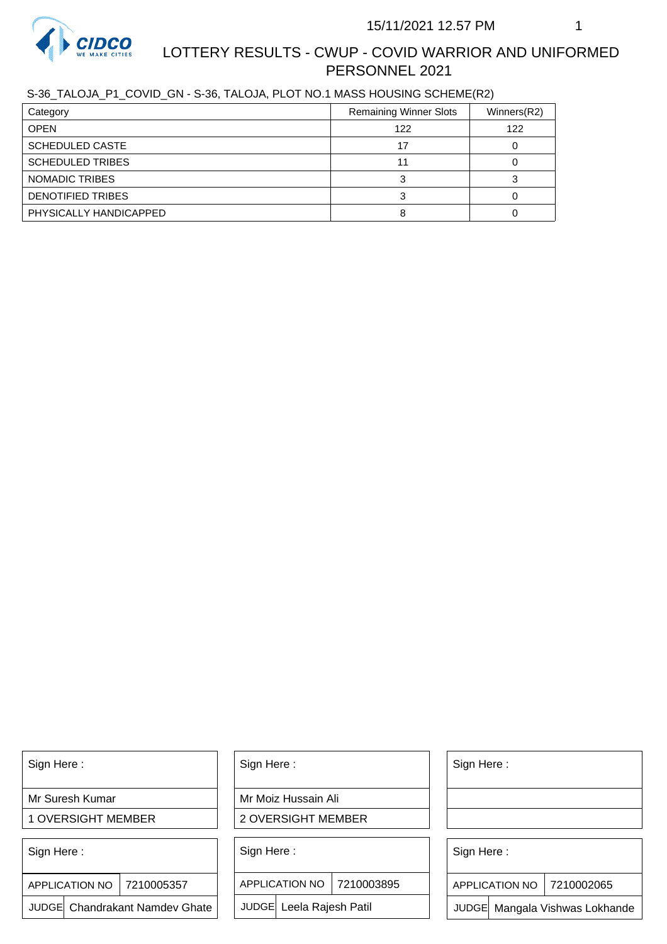

# LOTTERY RESULTS - CWUP - COVID WARRIOR AND UNIFORMED PERSONNEL 2021

S-36\_TALOJA\_P1\_COVID\_GN - S-36, TALOJA, PLOT NO.1 MASS HOUSING SCHEME(R2)

| Category                | <b>Remaining Winner Slots</b> | Winners(R2) |
|-------------------------|-------------------------------|-------------|
| <b>OPEN</b>             | 122                           | 122         |
| <b>SCHEDULED CASTE</b>  | 17                            |             |
| <b>SCHEDULED TRIBES</b> | 11                            |             |
| NOMADIC TRIBES          |                               |             |
| DENOTIFIED TRIBES       |                               |             |
| PHYSICALLY HANDICAPPED  |                               |             |

Sign Here :

Mr Suresh Kumar

1 OVERSIGHT MEMBER

Sign Here :

7210005357 APPLICATION NO

JUDGE Chandrakant Namdev Ghate

Sign Here :

Mr Moiz Hussain Ali

2 OVERSIGHT MEMBER

Sign Here :

APPLICATION NO 7210003895

JUDGE Leela Rajesh Patil

Sign Here :

Sign Here :

APPLICATION NO | 7210002065

Chandrakant Namdev Ghate  $|\quad|$  JUDGE Leela Rajesh Patil  $|\quad|$  JUDGE Mangala Vishwas Lokhande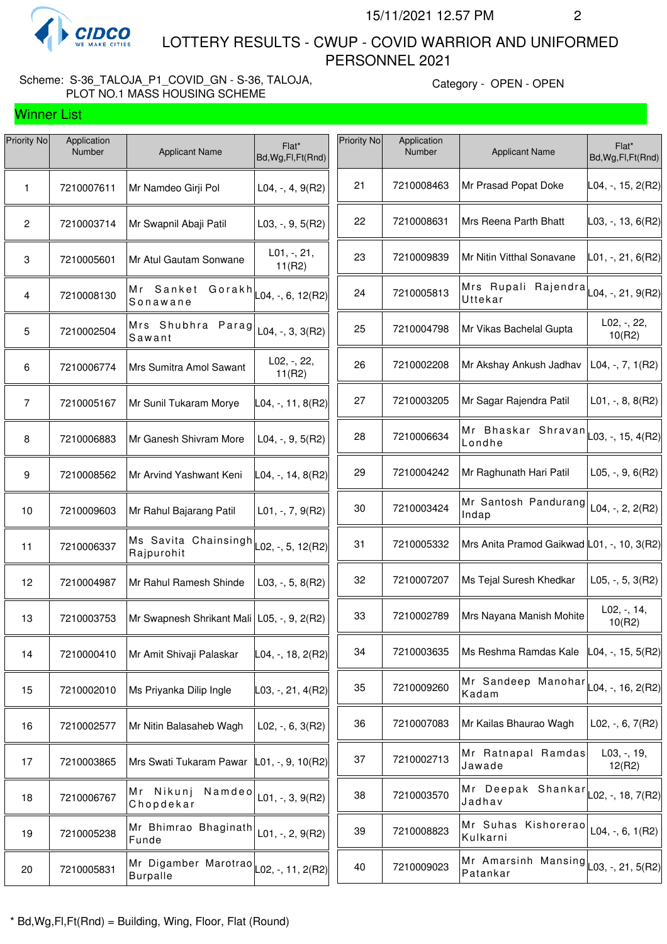

Winner List

 LOTTERY RESULTS - CWUP - COVID WARRIOR AND UNIFORMED PERSONNEL 2021

# Scheme: S-36\_TALOJA\_P1\_COVID\_GN - S-36, TALOJA, PLOT NO.1 MASS HOUSING SCHEME

| Priority No    | Application<br>Number | <b>Applicant Name</b>                                                                  | Flat*<br>Bd, Wg, Fl, Ft (Rnd)                   | Priority No | Application<br>Number | <b>Applicant Name</b>                                                | Flat*<br>Bd, Wg, Fl, Ft (Rnd) |
|----------------|-----------------------|----------------------------------------------------------------------------------------|-------------------------------------------------|-------------|-----------------------|----------------------------------------------------------------------|-------------------------------|
| 1              | 7210007611            | Mr Namdeo Girji Pol                                                                    | $L04, -, 4, 9(R2)$                              | 21          | 7210008463            | Mr Prasad Popat Doke                                                 | $LO4, -, 15, 2(R2)$           |
| $\mathbf{2}$   | 7210003714            | Mr Swapnil Abaji Patil                                                                 | $L03, -, 9, 5(R2)$                              | 22          | 7210008631            | Mrs Reena Parth Bhatt                                                | $\vert$ L03, -, 13, 6(R2)     |
| $\mathbf 3$    | 7210005601            | Mr Atul Gautam Sonwane                                                                 | L01, -, 21,<br>11(R2)                           | 23          | 7210009839            | Mr Nitin Vitthal Sonavane                                            | L01, -, 21, 6(R2)             |
| 4              | 7210008130            | Mr Sanket<br>Gorakh<br>Sonawane                                                        | $\textsf{L04}, \textsf{-}, 6, 12 (\textsf{R2})$ | 24          | 7210005813            | Mrs Rupali Rajendra<br>Uttekar                                       | L04, -, 21, 9(R2)             |
| 5              | 7210002504            | Mrs Shubhra Parag<br>Sawant                                                            | L04, $-$ , 3, 3(R2)                             | 25          | 7210004798            | Mr Vikas Bachelal Gupta                                              | L02, -, 22,<br>10(R2)         |
| 6              | 7210006774            | Mrs Sumitra Amol Sawant                                                                | L02, -, 22,<br>11(R2)                           | 26          | 7210002208            | Mr Akshay Ankush Jadhav                                              | L04, $-$ , $7$ , $1(R2)$      |
| $\overline{7}$ | 7210005167            | Mr Sunil Tukaram Morye                                                                 | L04, -, 11, 8(R2)                               | 27          | 7210003205            | Mr Sagar Rajendra Patil                                              | $L01, -, 8, 8(R2)$            |
| 8              | 7210006883            | Mr Ganesh Shivram More                                                                 | $L04, -, 9, 5(R2)$                              | 28          | 7210006634            | Mr Bhaskar Shravan  <sub> </sub> 15,4(R2)<br>Londhe                  |                               |
| 9              | 7210008562            | Mr Arvind Yashwant Keni                                                                | L04, -, 14, 8(R2)                               | 29          | 7210004242            | Mr Raghunath Hari Patil                                              | $L05, -, 9, 6(R2)$            |
| 10             | 7210009603            | Mr Rahul Bajarang Patil                                                                | $L01, -7, 9(R2)$                                | 30          | 7210003424            | Mr Santosh Pandurang<br>Indap                                        | L04, $-$ , 2, 2(R2)           |
| 11             | 7210006337            | Ms Savita Chainsingh $\vert$ L <sub>02, -</sub> , 5, 12(R2) <sup> </sup><br>Rajpurohit |                                                 | 31          | 7210005332            | Mrs Anita Pramod Gaikwad L01, -, 10, 3(R2)                           |                               |
| 12             | 7210004987            | Mr Rahul Ramesh Shinde                                                                 | $L03, -5, 8(R2)$                                | 32          | 7210007207            | Ms Tejal Suresh Khedkar                                              | $L05, -, 5, 3(R2)$            |
| 13             | 7210003753            | Mr Swapnesh Shrikant Mali   L05, -, 9, 2(R2)                                           |                                                 | 33          | 7210002789            | Mrs Nayana Manish Mohite                                             | $L02, -14,$<br>10(R2)         |
| 14             | 7210000410            | Mr Amit Shivaji Palaskar                                                               | L04, -, 18, 2(R2)                               | 34          | 7210003635            | Ms Reshma Ramdas Kale                                                | $LO4, -, 15, 5(R2)$           |
| 15             | 7210002010            | Ms Priyanka Dilip Ingle                                                                | L03, -, 21, 4(R2)                               | 35          | 7210009260            | Mr Sandeep Manohar $\vert_{\text{L04},\text{-, 16, 2(R2)}}$<br>Kadam |                               |
| 16             | 7210002577            | Mr Nitin Balasaheb Wagh                                                                | $L02, -, 6, 3(R2)$                              | 36          | 7210007083            | Mr Kailas Bhaurao Wagh                                               | L02, $-$ , 6, 7(R2)           |
| 17             | 7210003865            | Mrs Swati Tukaram Pawar                                                                | $L01, -, 9, 10(R2)$                             | 37          | 7210002713            | Mr Ratnapal Ramdas<br>Jawade                                         | L03, -, 19,<br>12(R2)         |
| 18             | 7210006767            | Mr Nikunj<br>Namdeo<br>Chopdekar                                                       | $L01, -, 3, 9(R2)$                              | 38          | 7210003570            | Mr Deepak Shankar  <sub> </sub> 02, -, 18, 7(R2)<br>Jadhav           |                               |
| 19             | 7210005238            | Mr Bhimrao Bhaginath<br>Funde                                                          | L01, $-$ , 2, 9(R2)                             | 39          | 7210008823            | Mr Suhas Kishorerao<br>Kulkarni                                      | L04, $-$ , 6, 1(R2)           |
| 20             | 7210005831            | Mr Digamber Marotrao<br><b>Burpalle</b>                                                | $\vert$ L02, -, 11, 2(R2)                       | 40          | 7210009023            | Mr Amarsinh Mansing $\vert_{\text{L03, -, 21, 5(R2)}}$<br>Patankar   |                               |
|                |                       |                                                                                        |                                                 |             |                       |                                                                      |                               |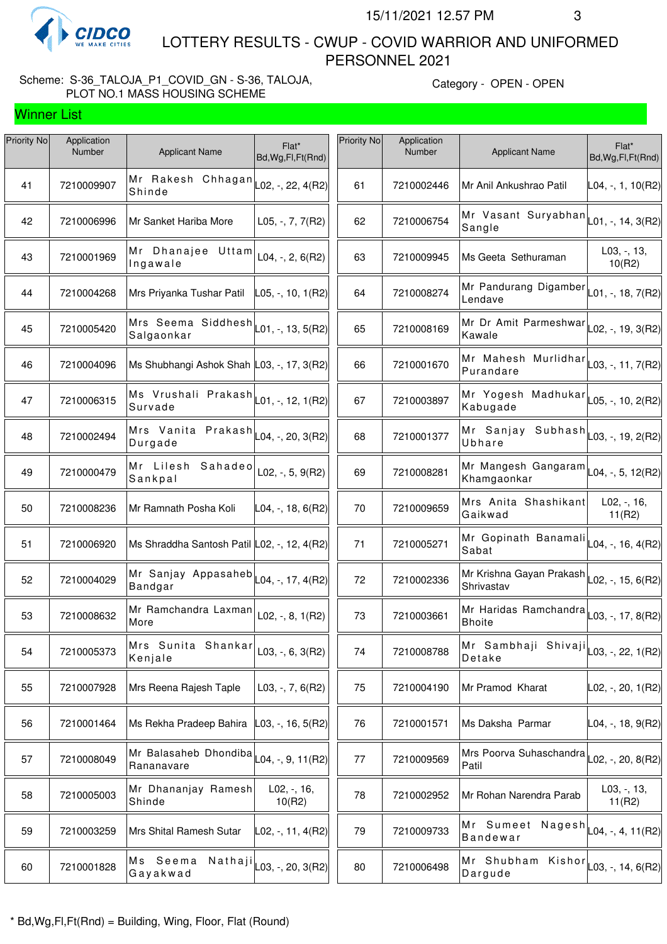

Winner List

 LOTTERY RESULTS - CWUP - COVID WARRIOR AND UNIFORMED PERSONNEL 2021

# Scheme: S-36\_TALOJA\_P1\_COVID\_GN - S-36, TALOJA, PLOT NO.1 MASS HOUSING SCHEME

| Priority No | Application<br>Number | <b>Applicant Name</b>                                           | Flat*<br>Bd, Wg, Fl, Ft (Rnd) | Priority No | Application<br>Number | <b>Applicant Name</b>                                                     | Flat*<br>Bd, Wg, Fl, Ft(Rnd) |
|-------------|-----------------------|-----------------------------------------------------------------|-------------------------------|-------------|-----------------------|---------------------------------------------------------------------------|------------------------------|
| 41          | 7210009907            | Mr Rakesh Chhagan<br>Shinde                                     | L02, -, 22, 4(R2)             | 61          | 7210002446            | Mr Anil Ankushrao Patil                                                   | $LO4, -, 1, 10(R2)$          |
| 42          | 7210006996            | Mr Sanket Hariba More                                           | L05, $-$ , $7$ , $7$ (R2)     | 62          | 7210006754            | Mr Vasant Suryabhan $\vert_{\text{L01},\text{-, 14, 3(R2)}}$<br>Sangle    |                              |
| 43          | 7210001969            | Mr Dhanajee Uttam<br>Ingawale                                   | $L04, -, 2, 6(R2)$            | 63          | 7210009945            | Ms Geeta Sethuraman                                                       | L03, -, 13,<br>10(R2)        |
| 44          | 7210004268            | Mrs Priyanka Tushar Patil                                       | $L$ 05, -, 10, 1(R2)          | 64          | 7210008274            | Mr Pandurang Digamber $\vert_{L01, \neg}$ , 18, 7(R2)<br>Lendave          |                              |
| 45          | 7210005420            | Mrs Seema Siddhesh<br>Salgaonkar                                | $ $ L01, -, 13, 5(R2) $ $     | 65          | 7210008169            | Mr Dr Amit Parmeshwar<br>Kawale                                           | $LO2, -19, 3(R2)$            |
| 46          | 7210004096            | Ms Shubhangi Ashok Shah L03, -, 17, 3(R2)                       |                               | 66          | 7210001670            | Mr Mahesh Murlidhar $\vert$ <sub>L03, -</sub> , 11, 7(R2)<br>Purandare    |                              |
| 47          | 7210006315            | Ms Vrushali Prakash $\vert$ L01, -, 12, 1(R2)<br>Survade        |                               | 67          | 7210003897            | Mr Yogesh Madhukar $\vert$ L05, -, 10, 2(R2)<br>Kabugade                  |                              |
| 48          | 7210002494            | Mrs Vanita Prakash $\vert$ L04, -, 20, 3(R2)<br>Durgade         |                               | 68          | 7210001377            | Mr Sanjay Subhash $\vert_{\text{L03, -, 19, 2(R2)}}$<br>Ubhare            |                              |
| 49          | 7210000479            | Mr Lilesh Sahadeo<br>Sankpal                                    | L02, $-$ , 5, 9(R2)           | 69          | 7210008281            | Mr Mangesh Gangaram $\vert$ L04, -, 5, 12(R2)<br>Khamgaonkar              |                              |
| 50          | 7210008236            | Mr Ramnath Posha Koli                                           | $L04, -, 18, 6(R2)$           | 70          | 7210009659            | Mrs Anita Shashikant<br>Gaikwad                                           | $L02, -16,$<br>11(R2)        |
| 51          | 7210006920            | Ms Shraddha Santosh Patil L02, -, 12, 4(R2)                     |                               | 71          | 7210005271            | Mr Gopinath Banamali<br>Sabat                                             | L04, -, 16, 4(R2)            |
| 52          | 7210004029            | Mr Sanjay Appasaheb $\vert$ LO4, -, 17, 4(R2)<br><b>Bandgar</b> |                               | 72          | 7210002336            | Mr Krishna Gayan Prakash L02, -, 15, 6(R2)<br>Shrivastav                  |                              |
| 53          | 7210008632            | Mr Ramchandra Laxman<br>More                                    | L02, $-$ , 8, 1(R2)           | 73          | 7210003661            | Mr Haridas Ramchandra $\vert_{\text{L03, -, 17, 8(R2)}}$<br><b>Bhoite</b> |                              |
| 54          | 7210005373            | Mrs Sunita Shankar<br>Kenjale                                   | $L03, -, 6, 3(R2)$            | 74          | 7210008788            | Mr Sambhaji Shivaji $\vert_{\text{L03, -, 22, 1(R2)}}$<br>Detake          |                              |
| 55          | 7210007928            | Mrs Reena Rajesh Taple                                          | $L03, -7, 6(R2)$              | 75          | 7210004190            | Mr Pramod Kharat                                                          | L02, -, 20, 1(R2)            |
| 56          | 7210001464            | Ms Rekha Pradeep Bahira                                         | L03, -, 16, 5(R2)             | 76          | 7210001571            | Ms Daksha Parmar                                                          | L04, -, 18, 9(R2)            |
| 57          | 7210008049            | Mr Balasaheb Dhondiba<br>Rananavare                             | $\textsf{L04}, -$ , 9, 11(R2) | 77          | 7210009569            | Mrs Poorva Suhaschandra<br>Patil                                          | $L$ 02, -, 20, 8(R2)         |
| 58          | 7210005003            | Mr Dhananjay Ramesh<br>Shinde                                   | $L02, -16,$<br>10(R2)         | 78          | 7210002952            | Mr Rohan Narendra Parab                                                   | $L03, -13,$<br>11(R2)        |
| 59          | 7210003259            | Mrs Shital Ramesh Sutar                                         | $\textsf{L}02,$ -, 11, 4(R2)  | 79          | 7210009733            | Mr Sumeet Nagesh $\vert_{\text{L04},\text{-, 4, 11(R2)}}$<br>Bandewar     |                              |
| 60          | 7210001828            | Ms Seema<br>Nathaji<br>Gayakwad                                 | $\vert$ L03, -, 20, 3(R2)     | 80          | 7210006498            | Mr Shubham Kishor<br>Dargude                                              | $L$ 03, -, 14, 6(R2)         |
|             |                       |                                                                 |                               |             |                       |                                                                           |                              |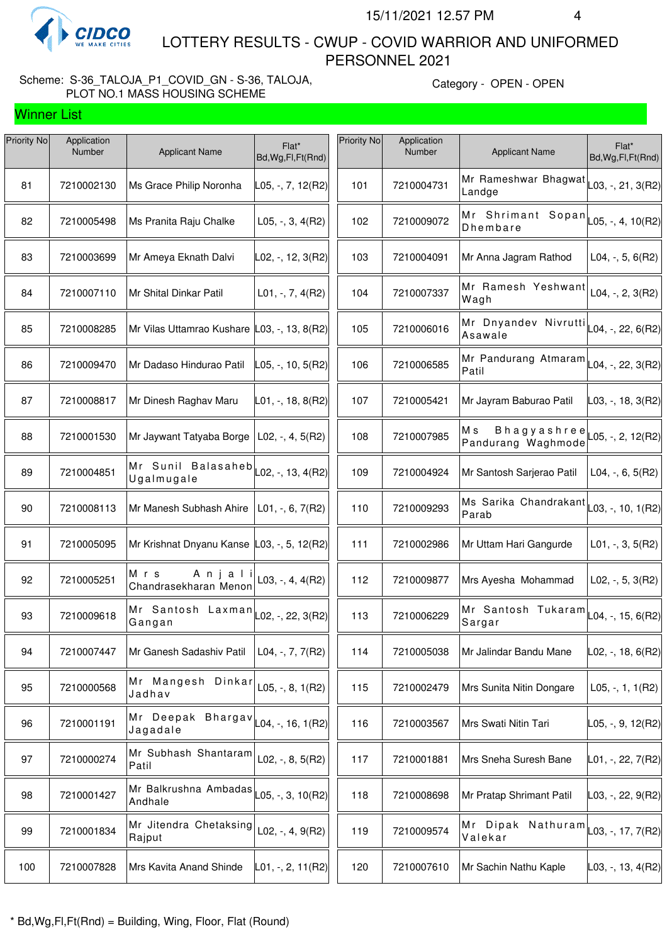

Winner List

 LOTTERY RESULTS - CWUP - COVID WARRIOR AND UNIFORMED PERSONNEL 2021

# Scheme: S-36\_TALOJA\_P1\_COVID\_GN - S-36, TALOJA, PLOT NO.1 MASS HOUSING SCHEME

| Priority No | Application<br>Number | <b>Applicant Name</b>                       | Flat*<br>Bd, Wg, Fl, Ft (Rnd)     | Priority No | Application<br>Number | <b>Applicant Name</b>                                             | Flat*<br>Bd, Wg, Fl, Ft (Rnd) |
|-------------|-----------------------|---------------------------------------------|-----------------------------------|-------------|-----------------------|-------------------------------------------------------------------|-------------------------------|
| 81          | 7210002130            | Ms Grace Philip Noronha                     | L05, -, 7, 12(R2)                 | 101         | 7210004731            | Mr Rameshwar Bhagwat $\vert_{\text{L03, -, 21, 3(R2)}}$<br>Landge |                               |
| 82          | 7210005498            | Ms Pranita Raju Chalke                      | $L05, -3, 4(R2)$                  | 102         | 7210009072            | Mr Shrimant Sopan $\vert$ L05, -, 4, 10(R2)<br>Dhembare           |                               |
| 83          | 7210003699            | Mr Ameya Eknath Dalvi                       | L02, -, 12, 3(R2)                 | 103         | 7210004091            | Mr Anna Jagram Rathod                                             | L04, $-$ , 5, 6(R2)           |
| 84          | 7210007110            | Mr Shital Dinkar Patil                      | $L01, -7, 4(R2)$                  | 104         | 7210007337            | Mr Ramesh Yeshwant<br>Wagh                                        | $L04, -, 2, 3(R2)$            |
| 85          | 7210008285            | Mr Vilas Uttamrao Kushare L03, -, 13, 8(R2) |                                   | 105         | 7210006016            | Mr Dnyandev Nivrutti $\vert$ L04, -, 22, 6(R2)<br>Asawale         |                               |
| 86          | 7210009470            | Mr Dadaso Hindurao Patil                    | L05, -, 10, 5(R2)                 | 106         | 7210006585            | Mr Pandurang Atmaram $\vert$ L04, -, 22, 3(R2)<br>Patil           |                               |
| 87          | 7210008817            | Mr Dinesh Raghav Maru                       | $L01, -, 18, 8(R2)$               | 107         | 7210005421            | Mr Jayram Baburao Patil                                           | L03, -, 18, 3(R2)             |
| 88          | 7210001530            | Mr Jaywant Tatyaba Borge                    | $L02, -, 4, 5(R2)$                | 108         | 7210007985            | Bhagyashree<br>Мs<br>Pandurang Waghmode                           | $-05, -2, 12(R2)$             |
| 89          | 7210004851            | Mr Sunil Balasaheb<br>Ugalmugale            | $\vert$ L02, -, 13, 4(R2) $\vert$ | 109         | 7210004924            | Mr Santosh Sarjerao Patil                                         | L04, $-$ , 6, 5(R2)           |
| 90          | 7210008113            | Mr Manesh Subhash Ahire                     | $L01, -, 6, 7(R2)$                | 110         | 7210009293            | Ms Sarika Chandrakant<br>Parab                                    | L03, -, 10, 1(R2)             |
| 91          | 7210005095            | Mr Krishnat Dnyanu Kanse L03, -, 5, 12(R2)  |                                   | 111         | 7210002986            | Mr Uttam Hari Gangurde                                            | $L01, -3, 5(R2)$              |
| 92          | 7210005251            | Anjali<br>Mrs<br>Chandrasekharan Menon      | $L03, -, 4, 4(R2)$                | 112         | 7210009877            | Mrs Ayesha Mohammad                                               | L02, $-$ , 5, 3(R2)           |
| 93          | 7210009618            | Mr Santosh Laxman<br>Gangan                 | L02, -, 22, 3(R2)                 | 113         | 7210006229            | Mr Santosh Tukaram<br>Sargar                                      | L04, -, 15, 6(R2)             |
| 94          | 7210007447            | Mr Ganesh Sadashiv Patil                    | L04, $-$ , $7$ , $7$ (R2)         | 114         | 7210005038            | Mr Jalindar Bandu Mane                                            | L02, -, 18, 6(R2)             |
| 95          | 7210000568            | Mr Mangesh Dinkar<br>Jadhav                 | L05, $-$ , 8, 1(R2)               | 115         | 7210002479            | Mrs Sunita Nitin Dongare                                          | $L05, -1, 1(R2)$              |
| 96          | 7210001191            | Mr Deepak Bhargav<br>Jagadale               | $\vert$ L04, -, 16, 1(R2)         | 116         | 7210003567            | Mrs Swati Nitin Tari                                              | L05, -, 9, 12(R2)             |
| 97          | 7210000274            | Mr Subhash Shantaram<br>Patil               | $L02, -, 8, 5(R2)$                | 117         | 7210001881            | Mrs Sneha Suresh Bane                                             | L01, -, 22, 7(R2)             |
| 98          | 7210001427            | Mr Balkrushna Ambadas<br>Andhale            | L05, -, 3, 10(R2)                 | 118         | 7210008698            | Mr Pratap Shrimant Patil                                          | $\vert$ L03, -, 22, 9(R2)     |
| 99          | 7210001834            | Mr Jitendra Chetaksing<br>Rajput            | $L02, -, 4, 9(R2)$                | 119         | 7210009574            | Mr Dipak Nathuram<br>Valekar                                      | L03, -, 17, 7(R2)             |
| 100         | 7210007828            | Mrs Kavita Anand Shinde                     | $L01, -, 2, 11(R2)$               | 120         | 7210007610            | Mr Sachin Nathu Kaple                                             | $\vert$ L03, -, 13, 4(R2)     |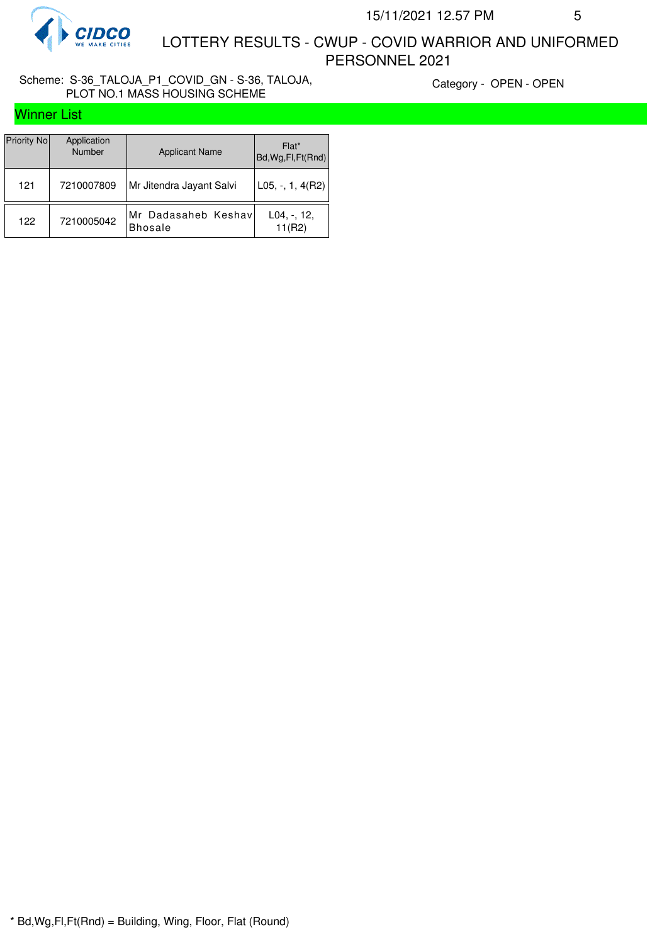

 LOTTERY RESULTS - CWUP - COVID WARRIOR AND UNIFORMED PERSONNEL 2021

# Scheme: S-36\_TALOJA\_P1\_COVID\_GN - S-36, TALOJA, PLOT NO.1 MASS HOUSING SCHEME

|  |  | <b>Winner List</b> |  |  |
|--|--|--------------------|--|--|
|--|--|--------------------|--|--|

| Priority No | Application<br>Number | <b>Applicant Name</b>                 | Flat*<br>Bd, Wg, Fl, Ft(Rnd) |
|-------------|-----------------------|---------------------------------------|------------------------------|
| 121         | 7210007809            | Mr Jitendra Jayant Salvi              | L05, -, 1, 4(R2)             |
| 122         | 7210005042            | Mr Dadasaheb Keshav<br><b>Bhosale</b> | $L04, -12,$<br>11(R2)        |